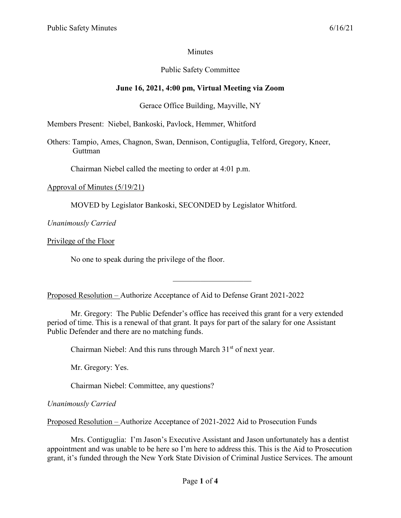# **Minutes**

# Public Safety Committee

# **June 16, 2021, 4:00 pm, Virtual Meeting via Zoom**

# Gerace Office Building, Mayville, NY

Members Present: Niebel, Bankoski, Pavlock, Hemmer, Whitford

Others: Tampio, Ames, Chagnon, Swan, Dennison, Contiguglia, Telford, Gregory, Kneer, Guttman

Chairman Niebel called the meeting to order at 4:01 p.m.

#### Approval of Minutes (5/19/21)

MOVED by Legislator Bankoski, SECONDED by Legislator Whitford.

*Unanimously Carried*

Privilege of the Floor

No one to speak during the privilege of the floor.

Proposed Resolution – Authorize Acceptance of Aid to Defense Grant 2021-2022

Mr. Gregory: The Public Defender's office has received this grant for a very extended period of time. This is a renewal of that grant. It pays for part of the salary for one Assistant Public Defender and there are no matching funds.

Chairman Niebel: And this runs through March  $31<sup>st</sup>$  of next year.

Mr. Gregory: Yes.

Chairman Niebel: Committee, any questions?

*Unanimously Carried*

Proposed Resolution – Authorize Acceptance of 2021-2022 Aid to Prosecution Funds

Mrs. Contiguglia: I'm Jason's Executive Assistant and Jason unfortunately has a dentist appointment and was unable to be here so I'm here to address this. This is the Aid to Prosecution grant, it's funded through the New York State Division of Criminal Justice Services. The amount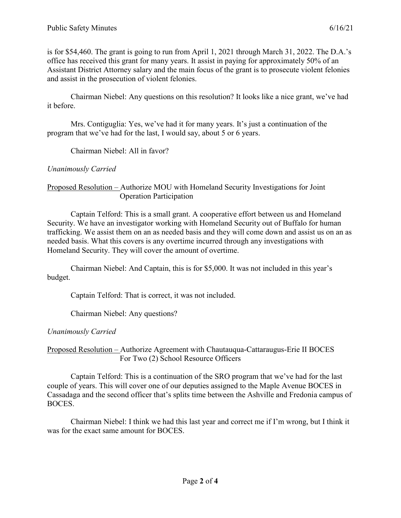is for \$54,460. The grant is going to run from April 1, 2021 through March 31, 2022. The D.A.'s office has received this grant for many years. It assist in paying for approximately 50% of an Assistant District Attorney salary and the main focus of the grant is to prosecute violent felonies and assist in the prosecution of violent felonies.

Chairman Niebel: Any questions on this resolution? It looks like a nice grant, we've had it before.

Mrs. Contiguglia: Yes, we've had it for many years. It's just a continuation of the program that we've had for the last, I would say, about 5 or 6 years.

Chairman Niebel: All in favor?

#### *Unanimously Carried*

### Proposed Resolution – Authorize MOU with Homeland Security Investigations for Joint Operation Participation

Captain Telford: This is a small grant. A cooperative effort between us and Homeland Security. We have an investigator working with Homeland Security out of Buffalo for human trafficking. We assist them on an as needed basis and they will come down and assist us on an as needed basis. What this covers is any overtime incurred through any investigations with Homeland Security. They will cover the amount of overtime.

Chairman Niebel: And Captain, this is for \$5,000. It was not included in this year's budget.

Captain Telford: That is correct, it was not included.

Chairman Niebel: Any questions?

### *Unanimously Carried*

Proposed Resolution – Authorize Agreement with Chautauqua-Cattaraugus-Erie II BOCES For Two (2) School Resource Officers

Captain Telford: This is a continuation of the SRO program that we've had for the last couple of years. This will cover one of our deputies assigned to the Maple Avenue BOCES in Cassadaga and the second officer that's splits time between the Ashville and Fredonia campus of BOCES.

Chairman Niebel: I think we had this last year and correct me if I'm wrong, but I think it was for the exact same amount for BOCES.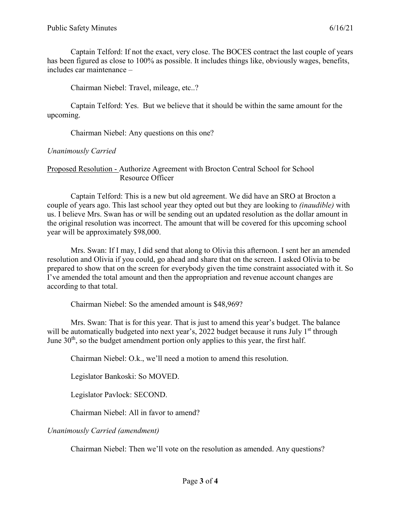Captain Telford: If not the exact, very close. The BOCES contract the last couple of years has been figured as close to 100% as possible. It includes things like, obviously wages, benefits, includes car maintenance –

Chairman Niebel: Travel, mileage, etc..?

Captain Telford: Yes. But we believe that it should be within the same amount for the upcoming.

Chairman Niebel: Any questions on this one?

# *Unanimously Carried*

Proposed Resolution - Authorize Agreement with Brocton Central School for School Resource Officer

Captain Telford: This is a new but old agreement. We did have an SRO at Brocton a couple of years ago. This last school year they opted out but they are looking to *(inaudible)* with us. I believe Mrs. Swan has or will be sending out an updated resolution as the dollar amount in the original resolution was incorrect. The amount that will be covered for this upcoming school year will be approximately \$98,000.

Mrs. Swan: If I may, I did send that along to Olivia this afternoon. I sent her an amended resolution and Olivia if you could, go ahead and share that on the screen. I asked Olivia to be prepared to show that on the screen for everybody given the time constraint associated with it. So I've amended the total amount and then the appropriation and revenue account changes are according to that total.

Chairman Niebel: So the amended amount is \$48,969?

Mrs. Swan: That is for this year. That is just to amend this year's budget. The balance will be automatically budgeted into next year's, 2022 budget because it runs July 1<sup>st</sup> through June  $30<sup>th</sup>$ , so the budget amendment portion only applies to this year, the first half.

Chairman Niebel: O.k., we'll need a motion to amend this resolution.

Legislator Bankoski: So MOVED.

Legislator Pavlock: SECOND.

Chairman Niebel: All in favor to amend?

*Unanimously Carried (amendment)*

Chairman Niebel: Then we'll vote on the resolution as amended. Any questions?